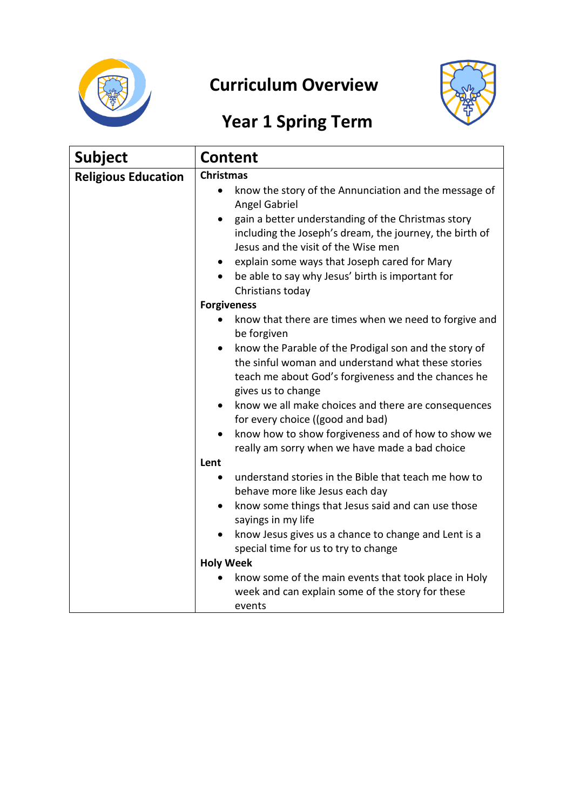

## **Curriculum Overview**



## **Year 1 Spring Term**

| <b>Subject</b>             | <b>Content</b>                                                                                                                                                                                                                                                                                                                                               |
|----------------------------|--------------------------------------------------------------------------------------------------------------------------------------------------------------------------------------------------------------------------------------------------------------------------------------------------------------------------------------------------------------|
| <b>Religious Education</b> | <b>Christmas</b>                                                                                                                                                                                                                                                                                                                                             |
|                            | know the story of the Annunciation and the message of<br>Angel Gabriel<br>gain a better understanding of the Christmas story<br>$\bullet$<br>including the Joseph's dream, the journey, the birth of<br>Jesus and the visit of the Wise men<br>explain some ways that Joseph cared for Mary<br>$\bullet$<br>be able to say why Jesus' birth is important for |
|                            | Christians today                                                                                                                                                                                                                                                                                                                                             |
|                            | <b>Forgiveness</b>                                                                                                                                                                                                                                                                                                                                           |
|                            | know that there are times when we need to forgive and<br>$\bullet$<br>be forgiven                                                                                                                                                                                                                                                                            |
|                            | know the Parable of the Prodigal son and the story of<br>$\bullet$<br>the sinful woman and understand what these stories<br>teach me about God's forgiveness and the chances he<br>gives us to change                                                                                                                                                        |
|                            | know we all make choices and there are consequences<br>for every choice ((good and bad)                                                                                                                                                                                                                                                                      |
|                            | know how to show forgiveness and of how to show we<br>$\bullet$<br>really am sorry when we have made a bad choice                                                                                                                                                                                                                                            |
|                            | Lent                                                                                                                                                                                                                                                                                                                                                         |
|                            | understand stories in the Bible that teach me how to<br>behave more like Jesus each day                                                                                                                                                                                                                                                                      |
|                            | know some things that Jesus said and can use those<br>$\bullet$<br>sayings in my life                                                                                                                                                                                                                                                                        |
|                            | know Jesus gives us a chance to change and Lent is a<br>$\bullet$<br>special time for us to try to change                                                                                                                                                                                                                                                    |
|                            | <b>Holy Week</b>                                                                                                                                                                                                                                                                                                                                             |
|                            | know some of the main events that took place in Holy<br>week and can explain some of the story for these<br>events                                                                                                                                                                                                                                           |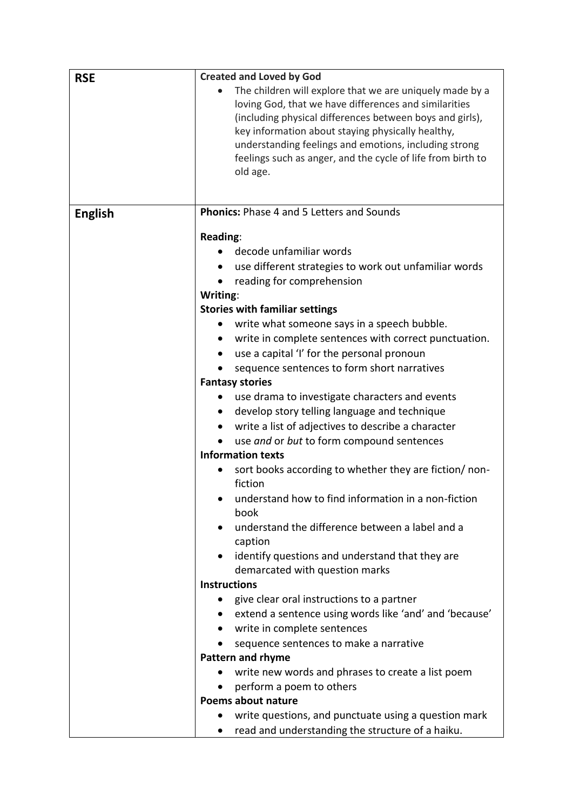| <b>RSE</b>     | <b>Created and Loved by God</b>                                                                                                                                                                                                                                                                                                                                                                                                                                                                                                                                                                                                                                                                                                                                                                                                                                                                                                                                                                                                                                                                                                                                                                                                                                                                |
|----------------|------------------------------------------------------------------------------------------------------------------------------------------------------------------------------------------------------------------------------------------------------------------------------------------------------------------------------------------------------------------------------------------------------------------------------------------------------------------------------------------------------------------------------------------------------------------------------------------------------------------------------------------------------------------------------------------------------------------------------------------------------------------------------------------------------------------------------------------------------------------------------------------------------------------------------------------------------------------------------------------------------------------------------------------------------------------------------------------------------------------------------------------------------------------------------------------------------------------------------------------------------------------------------------------------|
|                | The children will explore that we are uniquely made by a<br>loving God, that we have differences and similarities<br>(including physical differences between boys and girls),<br>key information about staying physically healthy,<br>understanding feelings and emotions, including strong<br>feelings such as anger, and the cycle of life from birth to<br>old age.                                                                                                                                                                                                                                                                                                                                                                                                                                                                                                                                                                                                                                                                                                                                                                                                                                                                                                                         |
| <b>English</b> | <b>Phonics:</b> Phase 4 and 5 Letters and Sounds                                                                                                                                                                                                                                                                                                                                                                                                                                                                                                                                                                                                                                                                                                                                                                                                                                                                                                                                                                                                                                                                                                                                                                                                                                               |
|                | Reading:<br>decode unfamiliar words<br>use different strategies to work out unfamiliar words<br>$\bullet$<br>reading for comprehension<br>$\bullet$<br>Writing:<br><b>Stories with familiar settings</b><br>write what someone says in a speech bubble.<br>write in complete sentences with correct punctuation.<br>$\bullet$<br>use a capital 'I' for the personal pronoun<br>sequence sentences to form short narratives<br><b>Fantasy stories</b><br>use drama to investigate characters and events<br>develop story telling language and technique<br>write a list of adjectives to describe a character<br>$\bullet$<br>use and or but to form compound sentences<br><b>Information texts</b><br>sort books according to whether they are fiction/ non-<br>fiction<br>understand how to find information in a non-fiction<br>book<br>understand the difference between a label and a<br>caption<br>identify questions and understand that they are<br>demarcated with question marks<br><b>Instructions</b><br>give clear oral instructions to a partner<br>extend a sentence using words like 'and' and 'because'<br>write in complete sentences<br>$\bullet$<br>sequence sentences to make a narrative<br><b>Pattern and rhyme</b><br>write new words and phrases to create a list poem |
|                | perform a poem to others<br>Poems about nature                                                                                                                                                                                                                                                                                                                                                                                                                                                                                                                                                                                                                                                                                                                                                                                                                                                                                                                                                                                                                                                                                                                                                                                                                                                 |
|                | write questions, and punctuate using a question mark                                                                                                                                                                                                                                                                                                                                                                                                                                                                                                                                                                                                                                                                                                                                                                                                                                                                                                                                                                                                                                                                                                                                                                                                                                           |
|                | read and understanding the structure of a haiku.<br>$\bullet$                                                                                                                                                                                                                                                                                                                                                                                                                                                                                                                                                                                                                                                                                                                                                                                                                                                                                                                                                                                                                                                                                                                                                                                                                                  |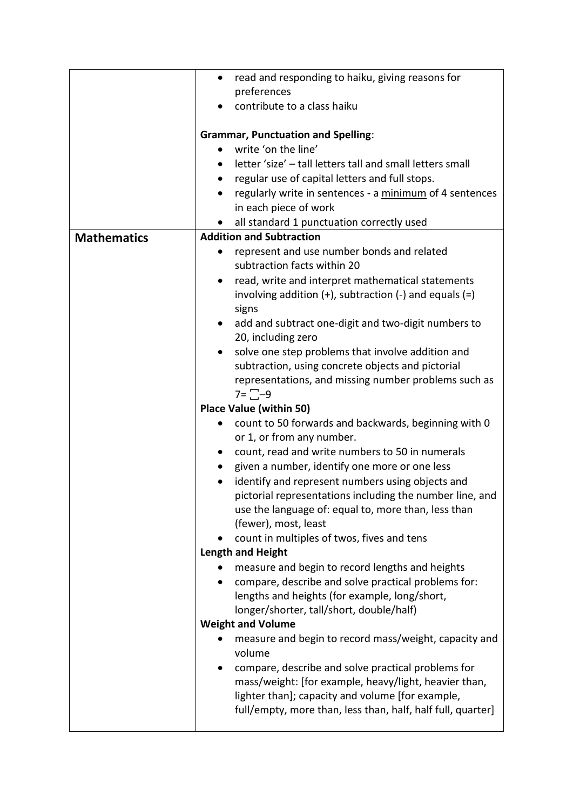|                    | read and responding to haiku, giving reasons for<br>$\bullet$                                                |
|--------------------|--------------------------------------------------------------------------------------------------------------|
|                    | preferences                                                                                                  |
|                    | contribute to a class haiku                                                                                  |
|                    |                                                                                                              |
|                    | <b>Grammar, Punctuation and Spelling:</b>                                                                    |
|                    | write 'on the line'<br>$\bullet$                                                                             |
|                    | letter 'size' - tall letters tall and small letters small<br>$\bullet$                                       |
|                    | regular use of capital letters and full stops.                                                               |
|                    | regularly write in sentences - a minimum of 4 sentences                                                      |
|                    | in each piece of work                                                                                        |
|                    | all standard 1 punctuation correctly used<br><b>Addition and Subtraction</b>                                 |
| <b>Mathematics</b> | $\bullet$                                                                                                    |
|                    | represent and use number bonds and related<br>subtraction facts within 20                                    |
|                    | read, write and interpret mathematical statements                                                            |
|                    | involving addition $(+)$ , subtraction $(-)$ and equals $(=)$                                                |
|                    | signs                                                                                                        |
|                    | add and subtract one-digit and two-digit numbers to                                                          |
|                    | 20, including zero                                                                                           |
|                    | solve one step problems that involve addition and                                                            |
|                    | subtraction, using concrete objects and pictorial                                                            |
|                    | representations, and missing number problems such as                                                         |
|                    | $7 = \square - 9$                                                                                            |
|                    | <b>Place Value (within 50)</b>                                                                               |
|                    | count to 50 forwards and backwards, beginning with 0<br>$\bullet$                                            |
|                    | or 1, or from any number.                                                                                    |
|                    | count, read and write numbers to 50 in numerals<br>$\bullet$                                                 |
|                    | given a number, identify one more or one less<br>$\bullet$                                                   |
|                    | identify and represent numbers using objects and<br>pictorial representations including the number line, and |
|                    | use the language of: equal to, more than, less than                                                          |
|                    | (fewer), most, least                                                                                         |
|                    | count in multiples of twos, fives and tens                                                                   |
|                    | <b>Length and Height</b>                                                                                     |
|                    | measure and begin to record lengths and heights                                                              |
|                    | compare, describe and solve practical problems for:                                                          |
|                    | lengths and heights (for example, long/short,                                                                |
|                    | longer/shorter, tall/short, double/half)                                                                     |
|                    | <b>Weight and Volume</b>                                                                                     |
|                    | measure and begin to record mass/weight, capacity and<br>volume                                              |
|                    | compare, describe and solve practical problems for                                                           |
|                    | mass/weight: [for example, heavy/light, heavier than,                                                        |
|                    | lighter than]; capacity and volume [for example,                                                             |
|                    | full/empty, more than, less than, half, half full, quarter]                                                  |
|                    |                                                                                                              |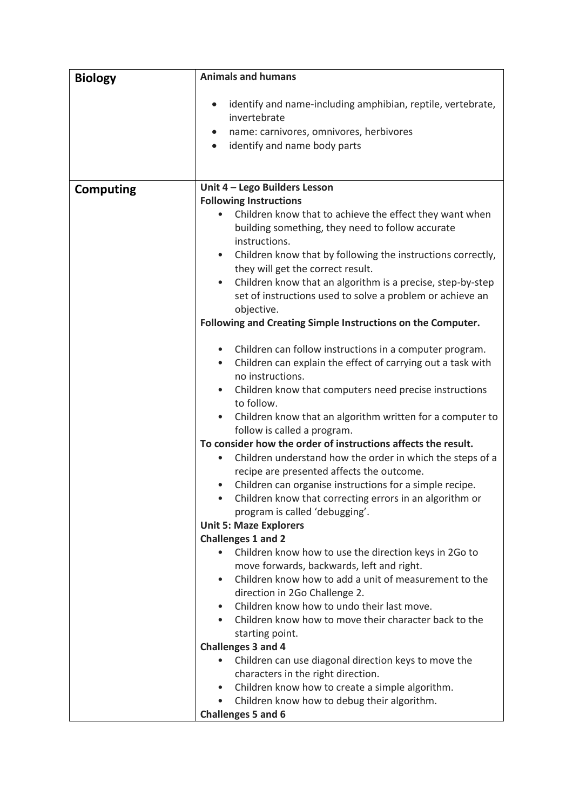| <b>Biology</b>   | <b>Animals and humans</b>                                                                                                    |
|------------------|------------------------------------------------------------------------------------------------------------------------------|
|                  | identify and name-including amphibian, reptile, vertebrate,<br>$\bullet$<br>invertebrate                                     |
|                  | name: carnivores, omnivores, herbivores<br>$\bullet$                                                                         |
|                  | identify and name body parts<br>$\bullet$                                                                                    |
|                  |                                                                                                                              |
|                  |                                                                                                                              |
| <b>Computing</b> | Unit 4 - Lego Builders Lesson<br><b>Following Instructions</b>                                                               |
|                  | Children know that to achieve the effect they want when<br>building something, they need to follow accurate<br>instructions. |
|                  | Children know that by following the instructions correctly,<br>$\bullet$<br>they will get the correct result.                |
|                  | Children know that an algorithm is a precise, step-by-step<br>$\bullet$                                                      |
|                  | set of instructions used to solve a problem or achieve an                                                                    |
|                  | objective.<br>Following and Creating Simple Instructions on the Computer.                                                    |
|                  |                                                                                                                              |
|                  | Children can follow instructions in a computer program.                                                                      |
|                  | Children can explain the effect of carrying out a task with<br>$\bullet$                                                     |
|                  | no instructions.                                                                                                             |
|                  | Children know that computers need precise instructions                                                                       |
|                  | to follow.                                                                                                                   |
|                  | Children know that an algorithm written for a computer to<br>follow is called a program.                                     |
|                  | To consider how the order of instructions affects the result.                                                                |
|                  | Children understand how the order in which the steps of a                                                                    |
|                  | recipe are presented affects the outcome.<br>Children can organise instructions for a simple recipe.                         |
|                  | Children know that correcting errors in an algorithm or                                                                      |
|                  | program is called 'debugging'.                                                                                               |
|                  | <b>Unit 5: Maze Explorers</b><br><b>Challenges 1 and 2</b>                                                                   |
|                  | Children know how to use the direction keys in 2Go to                                                                        |
|                  | move forwards, backwards, left and right.                                                                                    |
|                  | Children know how to add a unit of measurement to the<br>$\bullet$                                                           |
|                  | direction in 2Go Challenge 2.                                                                                                |
|                  | Children know how to undo their last move.<br>$\bullet$                                                                      |
|                  | Children know how to move their character back to the                                                                        |
|                  | starting point.                                                                                                              |
|                  | <b>Challenges 3 and 4</b>                                                                                                    |
|                  | Children can use diagonal direction keys to move the<br>$\bullet$                                                            |
|                  | characters in the right direction.<br>Children know how to create a simple algorithm.<br>$\bullet$                           |
|                  | Children know how to debug their algorithm.<br>$\bullet$                                                                     |
|                  | <b>Challenges 5 and 6</b>                                                                                                    |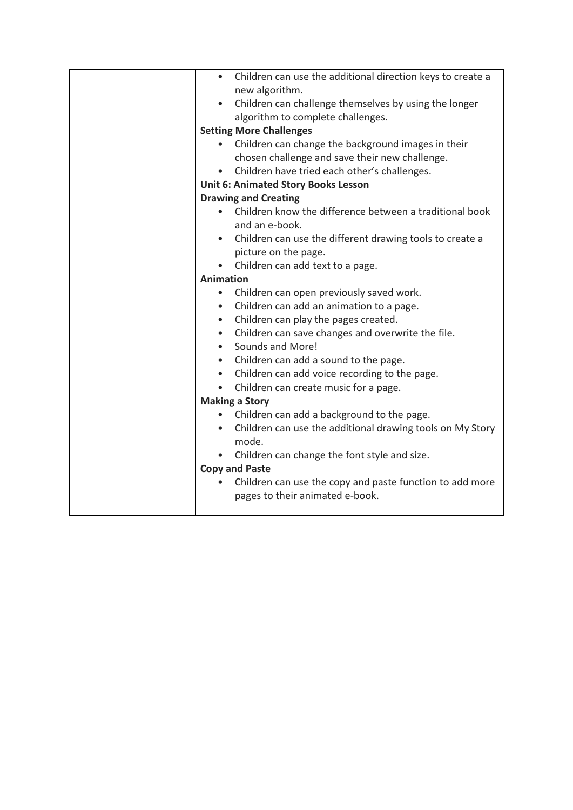| Children can use the additional direction keys to create a<br>$\bullet$ |
|-------------------------------------------------------------------------|
| new algorithm.                                                          |
| Children can challenge themselves by using the longer                   |
| algorithm to complete challenges.                                       |
| <b>Setting More Challenges</b>                                          |
| Children can change the background images in their                      |
| chosen challenge and save their new challenge.                          |
| Children have tried each other's challenges.<br>$\bullet$               |
| <b>Unit 6: Animated Story Books Lesson</b>                              |
| <b>Drawing and Creating</b>                                             |
| Children know the difference between a traditional book<br>$\bullet$    |
| and an e-book.                                                          |
| Children can use the different drawing tools to create a                |
| picture on the page.                                                    |
| Children can add text to a page.<br>$\bullet$                           |
| <b>Animation</b>                                                        |
| Children can open previously saved work.<br>$\bullet$                   |
| Children can add an animation to a page.                                |
| Children can play the pages created.<br>$\bullet$                       |
| Children can save changes and overwrite the file.<br>$\bullet$          |
| Sounds and More!<br>$\bullet$                                           |
| Children can add a sound to the page.<br>$\bullet$                      |
| Children can add voice recording to the page.<br>$\bullet$              |
| Children can create music for a page.<br>$\bullet$                      |
| <b>Making a Story</b>                                                   |
| Children can add a background to the page.                              |
| Children can use the additional drawing tools on My Story               |
| mode.                                                                   |
| Children can change the font style and size.                            |
| <b>Copy and Paste</b>                                                   |
| Children can use the copy and paste function to add more                |
| pages to their animated e-book.                                         |
|                                                                         |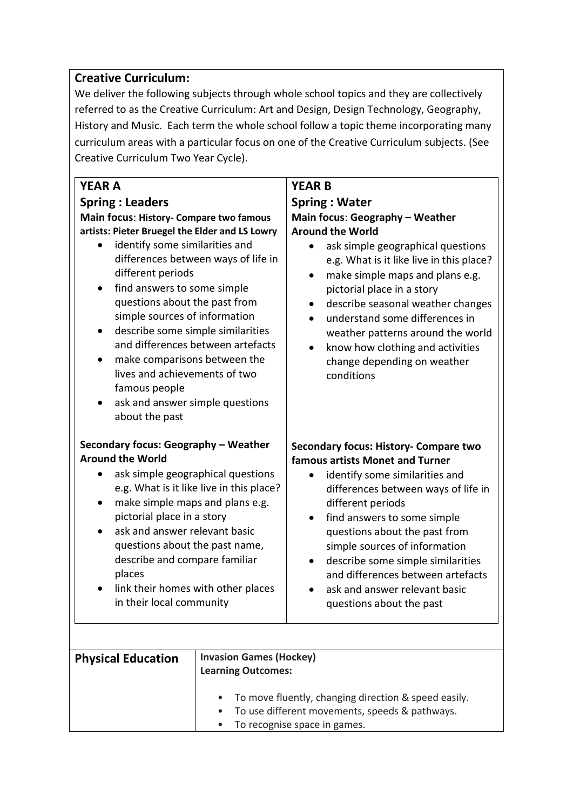## **Creative Curriculum:**

We deliver the following subjects through whole school topics and they are collectively referred to as the Creative Curriculum: Art and Design, Design Technology, Geography, History and Music. Each term the whole school follow a topic theme incorporating many curriculum areas with a particular focus on one of the Creative Curriculum subjects. (See Creative Curriculum Two Year Cycle).

| <b>YEAR A</b><br><b>Spring: Leaders</b><br>Main focus: History- Compare two famous<br>artists: Pieter Bruegel the Elder and LS Lowry<br>identify some similarities and<br>differences between ways of life in<br>different periods<br>find answers to some simple<br>questions about the past from<br>simple sources of information<br>describe some simple similarities<br>$\bullet$<br>and differences between artefacts<br>make comparisons between the<br>$\bullet$<br>lives and achievements of two<br>famous people<br>ask and answer simple questions<br>about the past | <b>YEAR B</b><br><b>Spring: Water</b><br>Main focus: Geography - Weather<br><b>Around the World</b><br>ask simple geographical questions<br>e.g. What is it like live in this place?<br>make simple maps and plans e.g.<br>pictorial place in a story<br>describe seasonal weather changes<br>understand some differences in<br>weather patterns around the world<br>know how clothing and activities<br>$\bullet$<br>change depending on weather<br>conditions |
|--------------------------------------------------------------------------------------------------------------------------------------------------------------------------------------------------------------------------------------------------------------------------------------------------------------------------------------------------------------------------------------------------------------------------------------------------------------------------------------------------------------------------------------------------------------------------------|-----------------------------------------------------------------------------------------------------------------------------------------------------------------------------------------------------------------------------------------------------------------------------------------------------------------------------------------------------------------------------------------------------------------------------------------------------------------|
| Secondary focus: Geography - Weather<br><b>Around the World</b><br>ask simple geographical questions<br>e.g. What is it like live in this place?<br>make simple maps and plans e.g.<br>$\bullet$<br>pictorial place in a story<br>ask and answer relevant basic<br>$\bullet$<br>questions about the past name,<br>describe and compare familiar<br>places<br>link their homes with other places<br>in their local community                                                                                                                                                    | <b>Secondary focus: History- Compare two</b><br>famous artists Monet and Turner<br>identify some similarities and<br>$\bullet$<br>differences between ways of life in<br>different periods<br>find answers to some simple<br>$\bullet$<br>questions about the past from<br>simple sources of information<br>describe some simple similarities<br>$\bullet$<br>and differences between artefacts<br>ask and answer relevant basic<br>questions about the past    |
| <b>Invasion Games (Hockey)</b><br><b>Physical Education</b><br><b>Learning Outcomes:</b>                                                                                                                                                                                                                                                                                                                                                                                                                                                                                       |                                                                                                                                                                                                                                                                                                                                                                                                                                                                 |

| • To move fluently, changing direction & speed easily. |  |
|--------------------------------------------------------|--|
| • To use different movements, speeds & pathways.       |  |
| • To recognise space in games.                         |  |